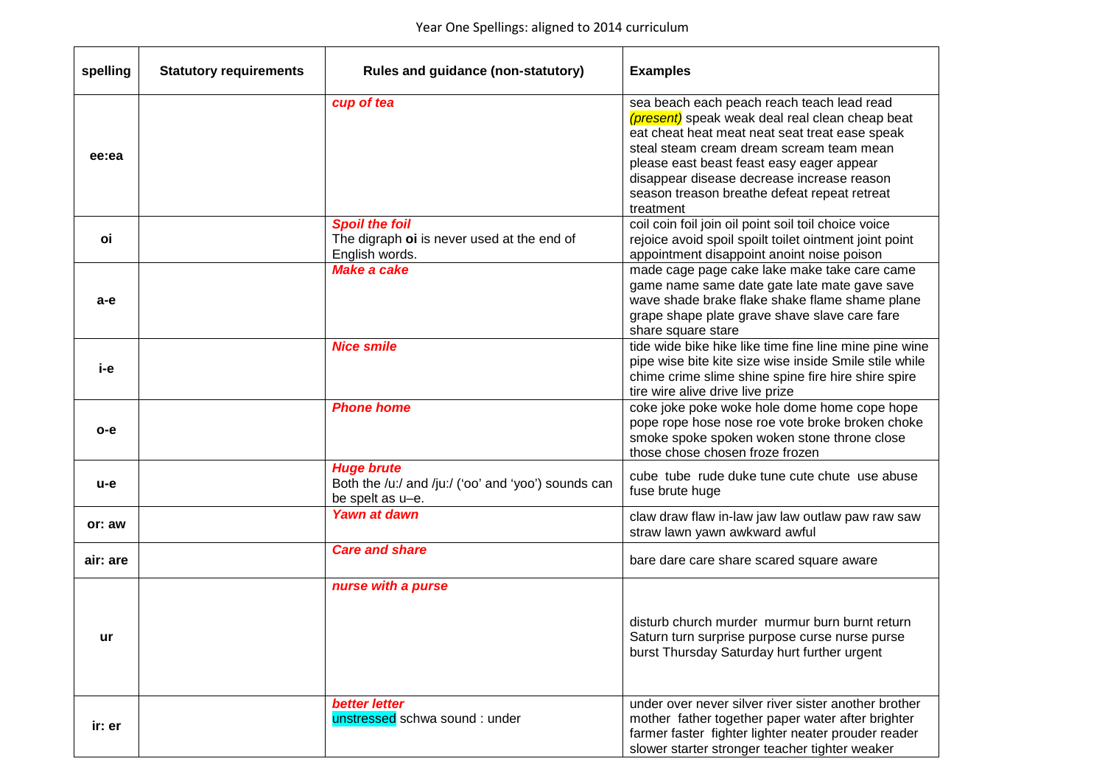| spelling | <b>Statutory requirements</b> | Rules and guidance (non-statutory)                                                           | <b>Examples</b>                                                                                                                                                                                                                                                                                                                                     |
|----------|-------------------------------|----------------------------------------------------------------------------------------------|-----------------------------------------------------------------------------------------------------------------------------------------------------------------------------------------------------------------------------------------------------------------------------------------------------------------------------------------------------|
| ee:ea    |                               | cup of tea                                                                                   | sea beach each peach reach teach lead read<br>(present) speak weak deal real clean cheap beat<br>eat cheat heat meat neat seat treat ease speak<br>steal steam cream dream scream team mean<br>please east beast feast easy eager appear<br>disappear disease decrease increase reason<br>season treason breathe defeat repeat retreat<br>treatment |
| οi       |                               | <b>Spoil the foil</b><br>The digraph oi is never used at the end of<br>English words.        | coil coin foil join oil point soil toil choice voice<br>rejoice avoid spoil spoilt toilet ointment joint point<br>appointment disappoint anoint noise poison                                                                                                                                                                                        |
| a-e      |                               | <b>Make a cake</b>                                                                           | made cage page cake lake make take care came<br>game name same date gate late mate gave save<br>wave shade brake flake shake flame shame plane<br>grape shape plate grave shave slave care fare<br>share square stare                                                                                                                               |
| i-е      |                               | <b>Nice smile</b>                                                                            | tide wide bike hike like time fine line mine pine wine<br>pipe wise bite kite size wise inside Smile stile while<br>chime crime slime shine spine fire hire shire spire<br>tire wire alive drive live prize                                                                                                                                         |
| $o-e$    |                               | <b>Phone home</b>                                                                            | coke joke poke woke hole dome home cope hope<br>pope rope hose nose roe vote broke broken choke<br>smoke spoke spoken woken stone throne close<br>those chose chosen froze frozen                                                                                                                                                                   |
| $u-e$    |                               | <b>Huge brute</b><br>Both the /u:/ and /ju:/ ('oo' and 'yoo') sounds can<br>be spelt as u-e. | cube tube rude duke tune cute chute use abuse<br>fuse brute huge                                                                                                                                                                                                                                                                                    |
| or: aw   |                               | <b>Yawn at dawn</b>                                                                          | claw draw flaw in-law jaw law outlaw paw raw saw<br>straw lawn yawn awkward awful                                                                                                                                                                                                                                                                   |
| air: are |                               | <b>Care and share</b>                                                                        | bare dare care share scared square aware                                                                                                                                                                                                                                                                                                            |
| ur.      |                               | nurse with a purse                                                                           | disturb church murder murmur burn burnt return<br>Saturn turn surprise purpose curse nurse purse<br>burst Thursday Saturday hurt further urgent                                                                                                                                                                                                     |
| ir: er   |                               | <b>better letter</b><br>unstressed schwa sound: under                                        | under over never silver river sister another brother<br>mother father together paper water after brighter<br>farmer faster fighter lighter neater prouder reader<br>slower starter stronger teacher tighter weaker                                                                                                                                  |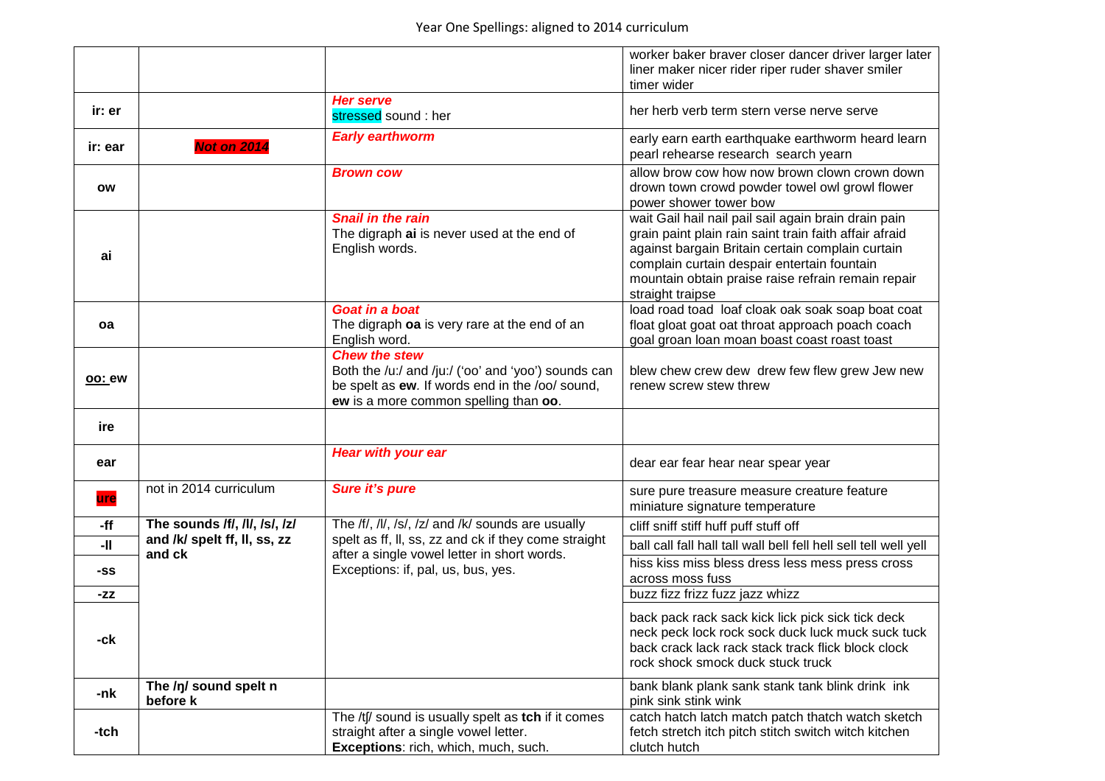|         |                                        |                                                                                                                                                                         | worker baker braver closer dancer driver larger later<br>liner maker nicer rider riper ruder shaver smiler<br>timer wider                                                                                                                                                                   |
|---------|----------------------------------------|-------------------------------------------------------------------------------------------------------------------------------------------------------------------------|---------------------------------------------------------------------------------------------------------------------------------------------------------------------------------------------------------------------------------------------------------------------------------------------|
| ir: er  |                                        | <b>Her serve</b><br>stressed sound : her                                                                                                                                | her herb verb term stern verse nerve serve                                                                                                                                                                                                                                                  |
| ir: ear | <b>Not on 2014</b>                     | <b>Early earthworm</b>                                                                                                                                                  | early earn earth earthquake earthworm heard learn<br>pearl rehearse research search yearn                                                                                                                                                                                                   |
| ow      |                                        | <b>Brown cow</b>                                                                                                                                                        | allow brow cow how now brown clown crown down<br>drown town crowd powder towel owl growl flower<br>power shower tower bow                                                                                                                                                                   |
| ai      |                                        | <b>Snail in the rain</b><br>The digraph ai is never used at the end of<br>English words.                                                                                | wait Gail hail nail pail sail again brain drain pain<br>grain paint plain rain saint train faith affair afraid<br>against bargain Britain certain complain curtain<br>complain curtain despair entertain fountain<br>mountain obtain praise raise refrain remain repair<br>straight traipse |
| oa      |                                        | Goat in a boat<br>The digraph oa is very rare at the end of an<br>English word.                                                                                         | load road toad loaf cloak oak soak soap boat coat<br>float gloat goat oat throat approach poach coach<br>goal groan loan moan boast coast roast toast                                                                                                                                       |
| oo: ew  |                                        | <b>Chew the stew</b><br>Both the /u:/ and /ju:/ ('oo' and 'yoo') sounds can<br>be spelt as ew. If words end in the /oo/ sound,<br>ew is a more common spelling than oo. | blew chew crew dew drew few flew grew Jew new<br>renew screw stew threw                                                                                                                                                                                                                     |
| ire     |                                        |                                                                                                                                                                         |                                                                                                                                                                                                                                                                                             |
| ear     |                                        | <b>Hear with your ear</b>                                                                                                                                               | dear ear fear hear near spear year                                                                                                                                                                                                                                                          |
| ure     | not in 2014 curriculum                 | Sure it's pure                                                                                                                                                          | sure pure treasure measure creature feature<br>miniature signature temperature                                                                                                                                                                                                              |
| $-ff$   | The sounds /f/, /l/, /s/, /z/          | The /f/, /l/, /s/, /z/ and /k/ sounds are usually                                                                                                                       | cliff sniff stiff huff puff stuff off                                                                                                                                                                                                                                                       |
| -11     | and /k/ spelt ff, ll, ss, zz<br>and ck | spelt as ff, II, ss, zz and ck if they come straight<br>after a single vowel letter in short words.                                                                     | ball call fall hall tall wall bell fell hell sell tell well yell                                                                                                                                                                                                                            |
| -SS     |                                        | Exceptions: if, pal, us, bus, yes.                                                                                                                                      | hiss kiss miss bless dress less mess press cross<br>across moss fuss                                                                                                                                                                                                                        |
| -ZZ     |                                        |                                                                                                                                                                         | buzz fizz frizz fuzz jazz whizz                                                                                                                                                                                                                                                             |
| -ck     |                                        |                                                                                                                                                                         | back pack rack sack kick lick pick sick tick deck<br>neck peck lock rock sock duck luck muck suck tuck<br>back crack lack rack stack track flick block clock<br>rock shock smock duck stuck truck                                                                                           |
| -nk     | The /ŋ/ sound spelt n<br>before k      |                                                                                                                                                                         | bank blank plank sank stank tank blink drink ink<br>pink sink stink wink                                                                                                                                                                                                                    |
| -tch    |                                        | The /tf/ sound is usually spelt as tch if it comes<br>straight after a single vowel letter.<br>Exceptions: rich, which, much, such.                                     | catch hatch latch match patch thatch watch sketch<br>fetch stretch itch pitch stitch switch witch kitchen<br>clutch hutch                                                                                                                                                                   |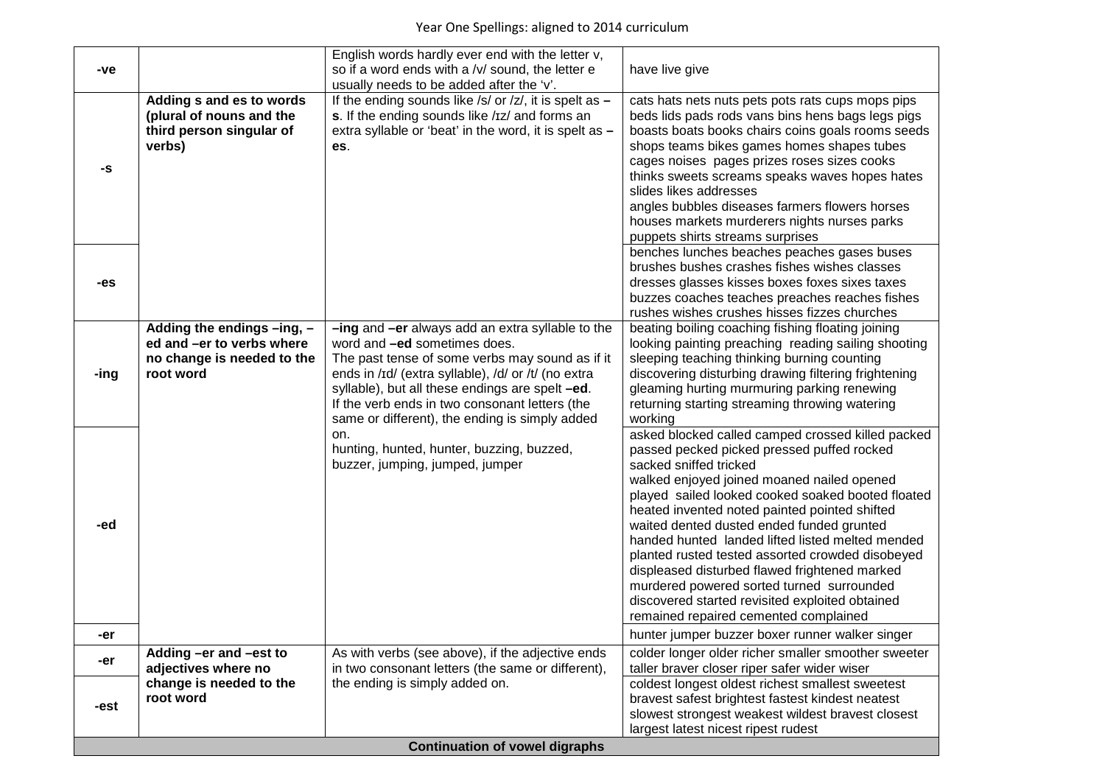|                                       |                                                      | English words hardly ever end with the letter v,                                                         |                                                                                                        |  |
|---------------------------------------|------------------------------------------------------|----------------------------------------------------------------------------------------------------------|--------------------------------------------------------------------------------------------------------|--|
| -ve                                   |                                                      | so if a word ends with a /v/ sound, the letter e                                                         | have live give                                                                                         |  |
|                                       |                                                      | usually needs to be added after the 'v'.                                                                 |                                                                                                        |  |
|                                       | Adding s and es to words                             | If the ending sounds like /s/ or /z/, it is spelt as $-$                                                 | cats hats nets nuts pets pots rats cups mops pips                                                      |  |
|                                       | (plural of nouns and the<br>third person singular of | s. If the ending sounds like /Iz/ and forms an<br>extra syllable or 'beat' in the word, it is spelt as - | beds lids pads rods vans bins hens bags legs pigs<br>boasts boats books chairs coins goals rooms seeds |  |
|                                       | verbs)                                               | es.                                                                                                      | shops teams bikes games homes shapes tubes                                                             |  |
|                                       |                                                      |                                                                                                          | cages noises pages prizes roses sizes cooks                                                            |  |
| -S                                    |                                                      |                                                                                                          | thinks sweets screams speaks waves hopes hates                                                         |  |
|                                       |                                                      |                                                                                                          | slides likes addresses                                                                                 |  |
|                                       |                                                      |                                                                                                          | angles bubbles diseases farmers flowers horses                                                         |  |
|                                       |                                                      |                                                                                                          | houses markets murderers nights nurses parks                                                           |  |
|                                       |                                                      |                                                                                                          | puppets shirts streams surprises                                                                       |  |
|                                       |                                                      |                                                                                                          | benches lunches beaches peaches gases buses                                                            |  |
| -es                                   |                                                      |                                                                                                          | brushes bushes crashes fishes wishes classes<br>dresses glasses kisses boxes foxes sixes taxes         |  |
|                                       |                                                      |                                                                                                          | buzzes coaches teaches preaches reaches fishes                                                         |  |
|                                       |                                                      |                                                                                                          | rushes wishes crushes hisses fizzes churches                                                           |  |
|                                       | Adding the endings -ing, -                           | -ing and -er always add an extra syllable to the                                                         | beating boiling coaching fishing floating joining                                                      |  |
|                                       | ed and -er to verbs where                            | word and -ed sometimes does.                                                                             | looking painting preaching reading sailing shooting                                                    |  |
|                                       | no change is needed to the                           | The past tense of some verbs may sound as if it                                                          | sleeping teaching thinking burning counting                                                            |  |
| -ing                                  | root word                                            | ends in /Id/ (extra syllable), /d/ or /t/ (no extra                                                      | discovering disturbing drawing filtering frightening                                                   |  |
|                                       |                                                      | syllable), but all these endings are spelt -ed.                                                          | gleaming hurting murmuring parking renewing                                                            |  |
|                                       |                                                      | If the verb ends in two consonant letters (the<br>same or different), the ending is simply added         | returning starting streaming throwing watering<br>working                                              |  |
|                                       |                                                      | on.                                                                                                      | asked blocked called camped crossed killed packed                                                      |  |
|                                       |                                                      | hunting, hunted, hunter, buzzing, buzzed,                                                                | passed pecked picked pressed puffed rocked                                                             |  |
|                                       |                                                      | buzzer, jumping, jumped, jumper                                                                          | sacked sniffed tricked                                                                                 |  |
|                                       |                                                      |                                                                                                          | walked enjoyed joined moaned nailed opened                                                             |  |
|                                       |                                                      |                                                                                                          | played sailed looked cooked soaked booted floated                                                      |  |
|                                       |                                                      |                                                                                                          | heated invented noted painted pointed shifted                                                          |  |
| -ed                                   |                                                      |                                                                                                          | waited dented dusted ended funded grunted                                                              |  |
|                                       |                                                      |                                                                                                          | handed hunted landed lifted listed melted mended<br>planted rusted tested assorted crowded disobeyed   |  |
|                                       |                                                      |                                                                                                          | displeased disturbed flawed frightened marked                                                          |  |
|                                       |                                                      |                                                                                                          | murdered powered sorted turned surrounded                                                              |  |
|                                       |                                                      |                                                                                                          | discovered started revisited exploited obtained                                                        |  |
|                                       |                                                      |                                                                                                          | remained repaired cemented complained                                                                  |  |
| -er                                   |                                                      |                                                                                                          | hunter jumper buzzer boxer runner walker singer                                                        |  |
| -er                                   | Adding -er and -est to                               | As with verbs (see above), if the adjective ends                                                         | colder longer older richer smaller smoother sweeter                                                    |  |
|                                       | adjectives where no                                  | in two consonant letters (the same or different),                                                        | taller braver closer riper safer wider wiser                                                           |  |
|                                       | change is needed to the                              | the ending is simply added on.                                                                           | coldest longest oldest richest smallest sweetest                                                       |  |
| -est                                  | root word                                            |                                                                                                          | bravest safest brightest fastest kindest neatest<br>slowest strongest weakest wildest bravest closest  |  |
|                                       |                                                      |                                                                                                          | largest latest nicest ripest rudest                                                                    |  |
| <b>Continuation of vowel digraphs</b> |                                                      |                                                                                                          |                                                                                                        |  |
|                                       |                                                      |                                                                                                          |                                                                                                        |  |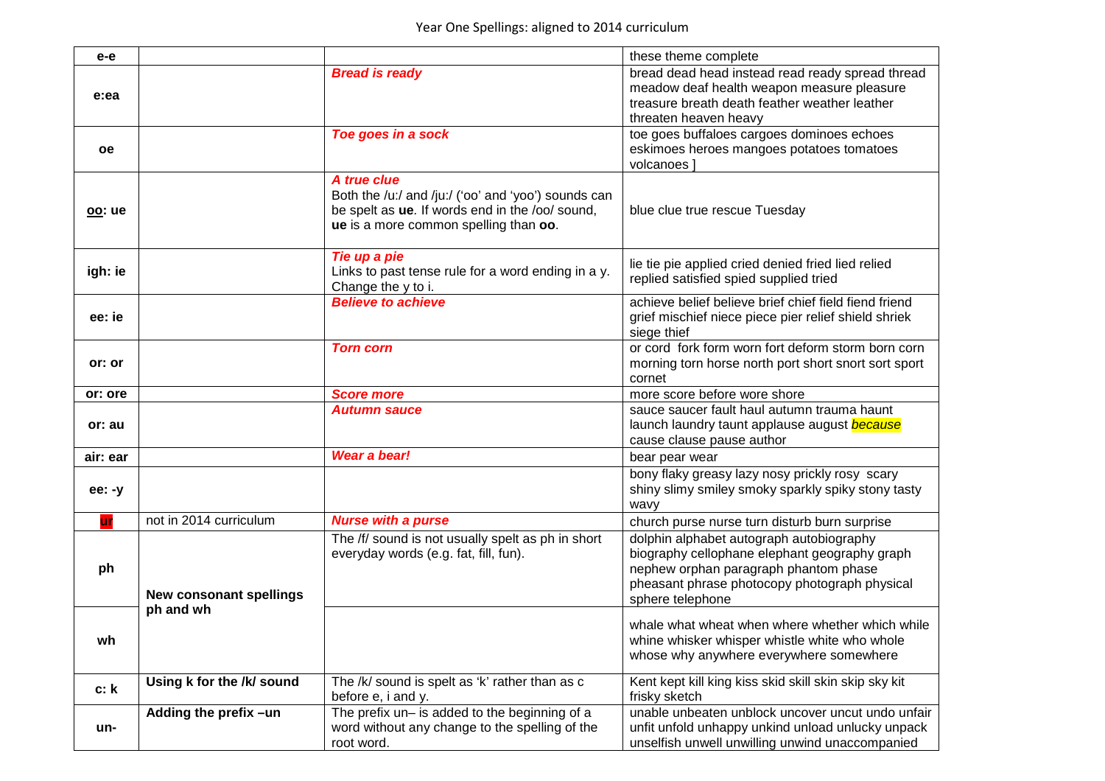| $e-e$     |                                |                                                                                                                                                                | these theme complete                                                                                                                                                                                    |
|-----------|--------------------------------|----------------------------------------------------------------------------------------------------------------------------------------------------------------|---------------------------------------------------------------------------------------------------------------------------------------------------------------------------------------------------------|
| e:ea      |                                | <b>Bread is ready</b>                                                                                                                                          | bread dead head instead read ready spread thread<br>meadow deaf health weapon measure pleasure<br>treasure breath death feather weather leather<br>threaten heaven heavy                                |
| <b>oe</b> |                                | Toe goes in a sock                                                                                                                                             | toe goes buffaloes cargoes dominoes echoes<br>eskimoes heroes mangoes potatoes tomatoes<br>volcanoes ]                                                                                                  |
| oo: ue    |                                | A true clue<br>Both the /u:/ and /ju:/ ('oo' and 'yoo') sounds can<br>be spelt as ue. If words end in the /oo/ sound,<br>ue is a more common spelling than oo. | blue clue true rescue Tuesday                                                                                                                                                                           |
| igh: ie   |                                | Tie up a pie<br>Links to past tense rule for a word ending in a y.<br>Change the y to i.                                                                       | lie tie pie applied cried denied fried lied relied<br>replied satisfied spied supplied tried                                                                                                            |
| ee: ie    |                                | <b>Believe to achieve</b>                                                                                                                                      | achieve belief believe brief chief field fiend friend<br>grief mischief niece piece pier relief shield shriek<br>siege thief                                                                            |
| or: or    |                                | <b>Torn corn</b>                                                                                                                                               | or cord fork form worn fort deform storm born corn<br>morning torn horse north port short snort sort sport<br>cornet                                                                                    |
| or: ore   |                                | <b>Score more</b>                                                                                                                                              | more score before wore shore                                                                                                                                                                            |
| or: au    |                                | <b>Autumn sauce</b>                                                                                                                                            | sauce saucer fault haul autumn trauma haunt<br>launch laundry taunt applause august because<br>cause clause pause author                                                                                |
| air: ear  |                                | <b>Wear a bear!</b>                                                                                                                                            | bear pear wear                                                                                                                                                                                          |
| ee: -y    |                                |                                                                                                                                                                | bony flaky greasy lazy nosy prickly rosy scary<br>shiny slimy smiley smoky sparkly spiky stony tasty<br>wavy                                                                                            |
| ur        | not in 2014 curriculum         | <b>Nurse with a purse</b>                                                                                                                                      | church purse nurse turn disturb burn surprise                                                                                                                                                           |
| ph        | <b>New consonant spellings</b> | The /f/ sound is not usually spelt as ph in short<br>everyday words (e.g. fat, fill, fun).                                                                     | dolphin alphabet autograph autobiography<br>biography cellophane elephant geography graph<br>nephew orphan paragraph phantom phase<br>pheasant phrase photocopy photograph physical<br>sphere telephone |
| wh        | ph and wh                      |                                                                                                                                                                | whale what wheat when where whether which while<br>whine whisker whisper whistle white who whole<br>whose why anywhere everywhere somewhere                                                             |
| c: k      | Using k for the /k/ sound      | The /k/ sound is spelt as 'k' rather than as c<br>before e, i and y.                                                                                           | Kent kept kill king kiss skid skill skin skip sky kit<br>frisky sketch                                                                                                                                  |
| un-       | Adding the prefix -un          | The prefix un- is added to the beginning of a<br>word without any change to the spelling of the<br>root word.                                                  | unable unbeaten unblock uncover uncut undo unfair<br>unfit unfold unhappy unkind unload unlucky unpack<br>unselfish unwell unwilling unwind unaccompanied                                               |